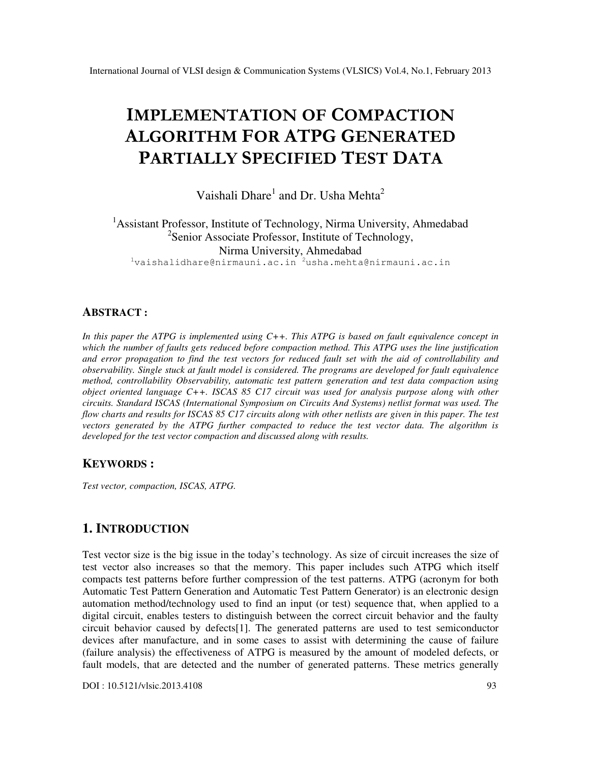# IMPLEMENTATION OF COMPACTION ALGORITHM FOR ATPG GENERATED PARTIALLY SPECIFIED TEST DATA

Vaishali Dhare<sup>1</sup> and Dr. Usha Mehta<sup>2</sup>

<sup>1</sup>Assistant Professor, Institute of Technology, Nirma University, Ahmedabad <sup>2</sup>Senior Associate Professor, Institute of Technology, Nirma University, Ahmedabad  $1$ vaishalidhare@nirmauni.ac.in  $2$ usha.mehta@nirmauni.ac.in

## **ABSTRACT :**

*In this paper the ATPG is implemented using C++. This ATPG is based on fault equivalence concept in which the number of faults gets reduced before compaction method. This ATPG uses the line justification and error propagation to find the test vectors for reduced fault set with the aid of controllability and observability. Single stuck at fault model is considered. The programs are developed for fault equivalence method, controllability Observability, automatic test pattern generation and test data compaction using object oriented language C++. ISCAS 85 C17 circuit was used for analysis purpose along with other circuits. Standard ISCAS (International Symposium on Circuits And Systems) netlist format was used. The flow charts and results for ISCAS 85 C17 circuits along with other netlists are given in this paper. The test vectors generated by the ATPG further compacted to reduce the test vector data. The algorithm is developed for the test vector compaction and discussed along with results.* 

## **KEYWORDS :**

*Test vector, compaction, ISCAS, ATPG.* 

# **1. INTRODUCTION**

Test vector size is the big issue in the today's technology. As size of circuit increases the size of test vector also increases so that the memory. This paper includes such ATPG which itself compacts test patterns before further compression of the test patterns. ATPG (acronym for both Automatic Test Pattern Generation and Automatic Test Pattern Generator) is an electronic design automation method/technology used to find an input (or test) sequence that, when applied to a digital circuit, enables testers to distinguish between the correct circuit behavior and the faulty circuit behavior caused by defects[1]. The generated patterns are used to test semiconductor devices after manufacture, and in some cases to assist with determining the cause of failure (failure analysis) the effectiveness of ATPG is measured by the amount of modeled defects, or fault models, that are detected and the number of generated patterns. These metrics generally

DOI : 10.5121/vlsic.2013.4108 93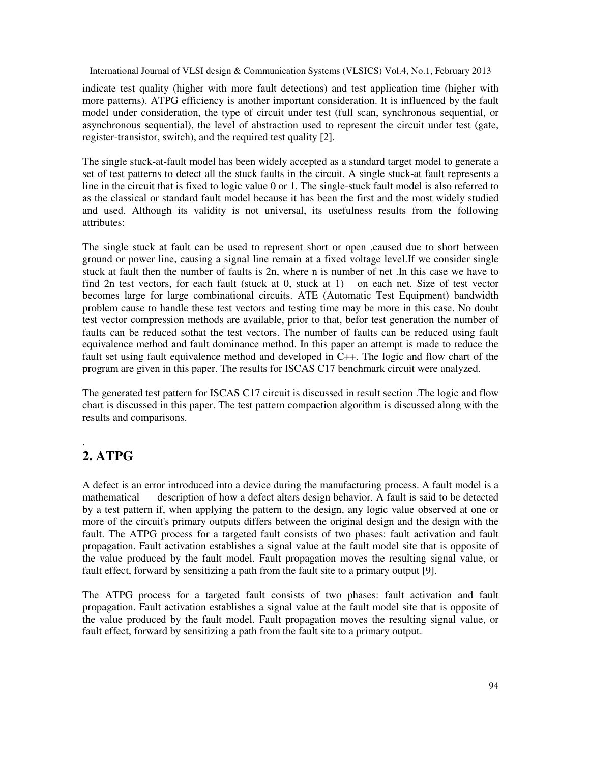indicate test quality (higher with more fault detections) and test application time (higher with more patterns). ATPG efficiency is another important consideration. It is influenced by the fault model under consideration, the type of circuit under test (full scan, synchronous sequential, or asynchronous sequential), the level of abstraction used to represent the circuit under test (gate, register-transistor, switch), and the required test quality [2].

The single stuck-at-fault model has been widely accepted as a standard target model to generate a set of test patterns to detect all the stuck faults in the circuit. A single stuck-at fault represents a line in the circuit that is fixed to logic value 0 or 1. The single-stuck fault model is also referred to as the classical or standard fault model because it has been the first and the most widely studied and used. Although its validity is not universal, its usefulness results from the following attributes:

The single stuck at fault can be used to represent short or open ,caused due to short between ground or power line, causing a signal line remain at a fixed voltage level.If we consider single stuck at fault then the number of faults is 2n, where n is number of net .In this case we have to find 2n test vectors, for each fault (stuck at 0, stuck at 1) on each net. Size of test vector becomes large for large combinational circuits. ATE (Automatic Test Equipment) bandwidth problem cause to handle these test vectors and testing time may be more in this case. No doubt test vector compression methods are available, prior to that, befor test generation the number of faults can be reduced sothat the test vectors. The number of faults can be reduced using fault equivalence method and fault dominance method. In this paper an attempt is made to reduce the fault set using fault equivalence method and developed in  $\tilde{C}$ ++. The logic and flow chart of the program are given in this paper. The results for ISCAS C17 benchmark circuit were analyzed.

The generated test pattern for ISCAS C17 circuit is discussed in result section .The logic and flow chart is discussed in this paper. The test pattern compaction algorithm is discussed along with the results and comparisons.

# . **2. ATPG**

A defect is an error introduced into a device during the manufacturing process. A fault model is a mathematical description of how a defect alters design behavior. A fault is said to be detected by a test pattern if, when applying the pattern to the design, any logic value observed at one or more of the circuit's primary outputs differs between the original design and the design with the fault. The ATPG process for a targeted fault consists of two phases: fault activation and fault propagation. Fault activation establishes a signal value at the fault model site that is opposite of the value produced by the fault model. Fault propagation moves the resulting signal value, or fault effect, forward by sensitizing a path from the fault site to a primary output [9].

The ATPG process for a targeted fault consists of two phases: fault activation and fault propagation. Fault activation establishes a signal value at the fault model site that is opposite of the value produced by the fault model. Fault propagation moves the resulting signal value, or fault effect, forward by sensitizing a path from the fault site to a primary output.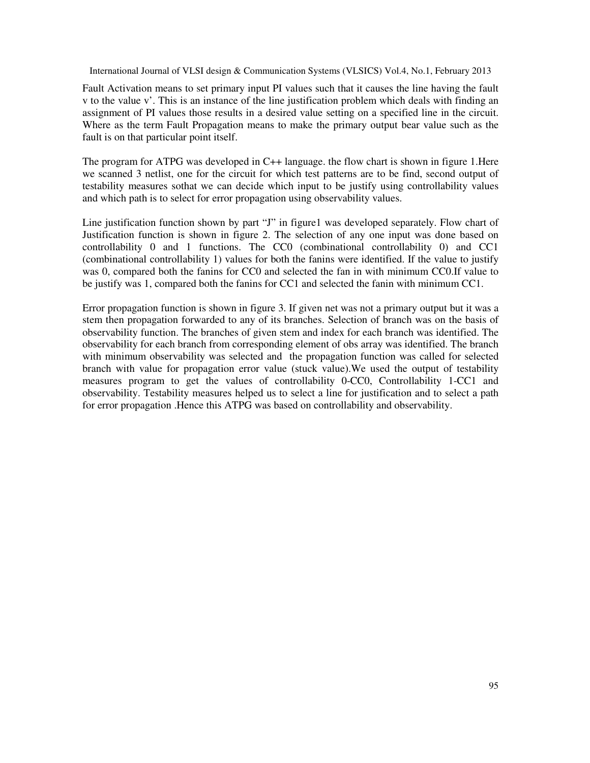Fault Activation means to set primary input PI values such that it causes the line having the fault v to the value v'. This is an instance of the line justification problem which deals with finding an assignment of PI values those results in a desired value setting on a specified line in the circuit. Where as the term Fault Propagation means to make the primary output bear value such as the fault is on that particular point itself.

The program for ATPG was developed in C++ language. the flow chart is shown in figure 1.Here we scanned 3 netlist, one for the circuit for which test patterns are to be find, second output of testability measures sothat we can decide which input to be justify using controllability values and which path is to select for error propagation using observability values.

Line justification function shown by part "J" in figure1 was developed separately. Flow chart of Justification function is shown in figure 2. The selection of any one input was done based on controllability 0 and 1 functions. The CC0 (combinational controllability 0) and CC1 (combinational controllability 1) values for both the fanins were identified. If the value to justify was 0, compared both the fanins for CC0 and selected the fan in with minimum CC0.If value to be justify was 1, compared both the fanins for CC1 and selected the fanin with minimum CC1.

Error propagation function is shown in figure 3. If given net was not a primary output but it was a stem then propagation forwarded to any of its branches. Selection of branch was on the basis of observability function. The branches of given stem and index for each branch was identified. The observability for each branch from corresponding element of obs array was identified. The branch with minimum observability was selected and the propagation function was called for selected branch with value for propagation error value (stuck value).We used the output of testability measures program to get the values of controllability 0-CC0, Controllability 1-CC1 and observability. Testability measures helped us to select a line for justification and to select a path for error propagation .Hence this ATPG was based on controllability and observability.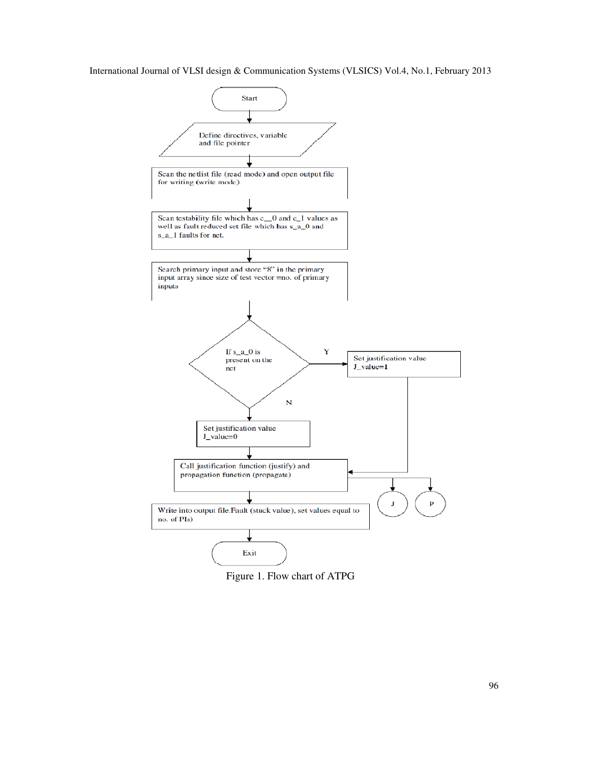

Figure 1. Flow chart of ATPG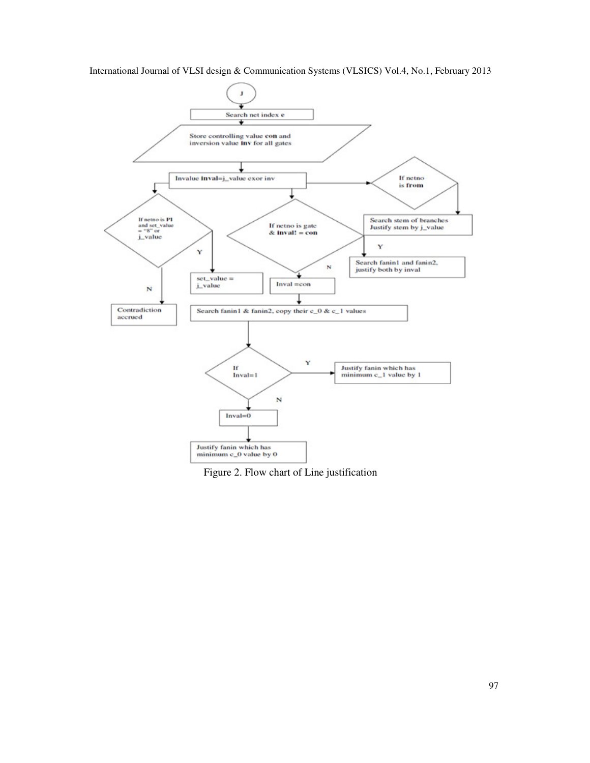International Journal of VLSI design & Communication Systems (VLSICS) Vol.4, No.1, February 2013



Figure 2. Flow chart of Line justification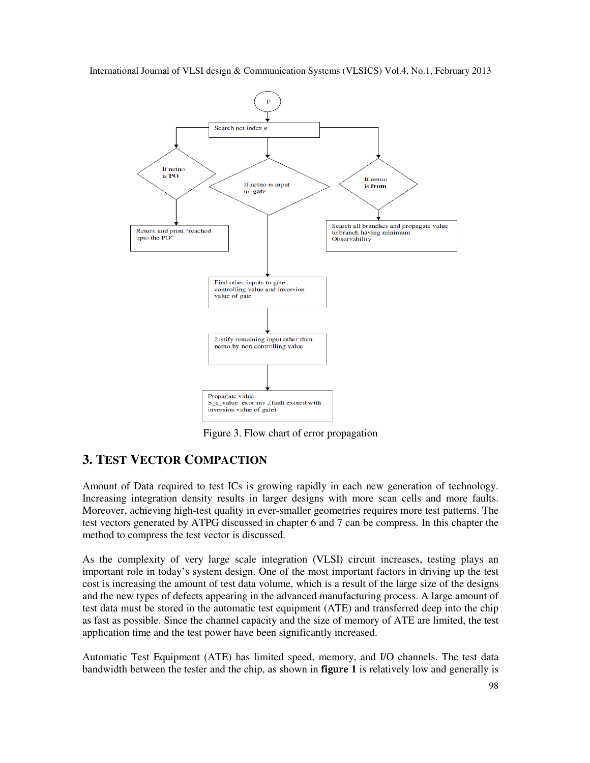

Figure 3. Flow chart of error propagation

# **3. TEST VECTOR COMPACTION**

Amount of Data required to test ICs is growing rapidly in each new generation of technology. Increasing integration density results in larger designs with more scan cells and more faults. Moreover, achieving high-test quality in ever-smaller geometries requires more test patterns. The test vectors generated by ATPG discussed in chapter 6 and 7 can be compress. In this chapter the method to compress the test vector is discussed.

As the complexity of very large scale integration (VLSI) circuit increases, testing plays an important role in today's system design. One of the most important factors in driving up the test cost is increasing the amount of test data volume, which is a result of the large size of the designs and the new types of defects appearing in the advanced manufacturing process. A large amount of test data must be stored in the automatic test equipment (ATE) and transferred deep into the chip as fast as possible. Since the channel capacity and the size of memory of ATE are limited, the test application time and the test power have been significantly increased.

Automatic Test Equipment (ATE) has limited speed, memory, and I/O channels. The test data bandwidth between the tester and the chip, as shown in **figure 1** is relatively low and generally is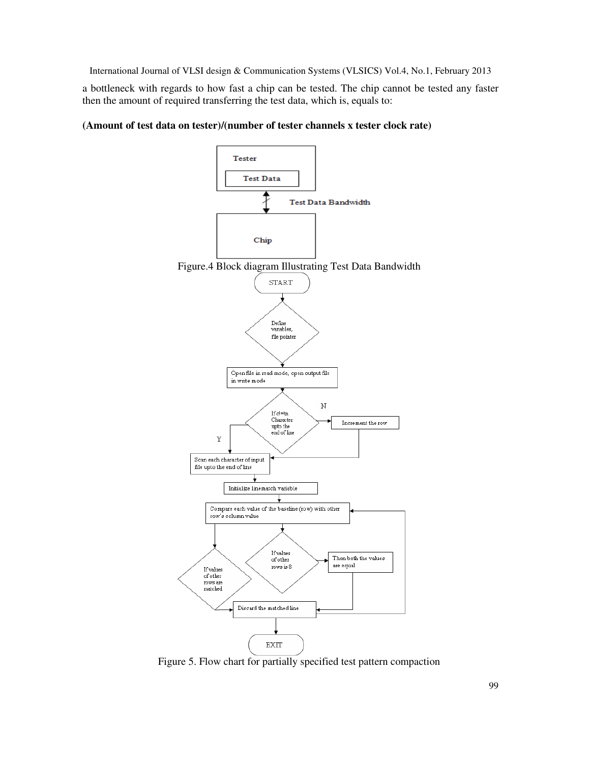a bottleneck with regards to how fast a chip can be tested. The chip cannot be tested any faster then the amount of required transferring the test data, which is, equals to:

#### **(Amount of test data on tester)/(number of tester channels x tester clock rate)**



Figure 5. Flow chart for partially specified test pattern compaction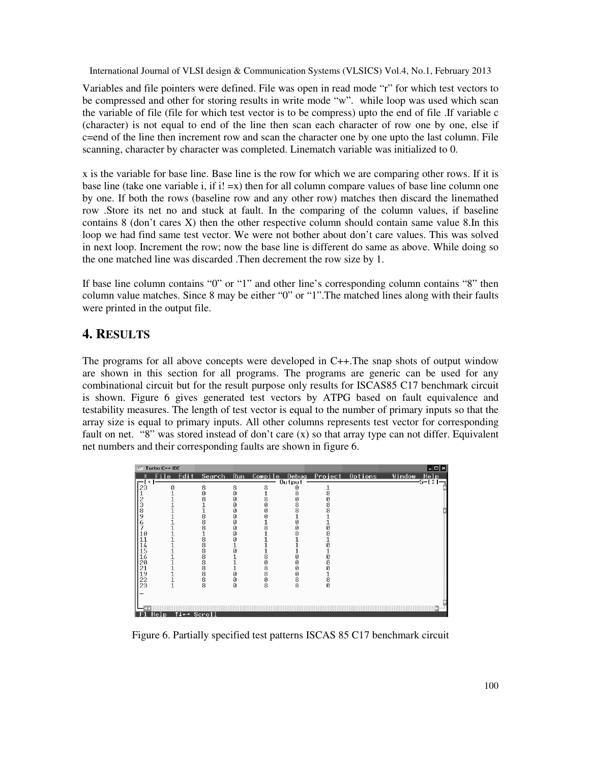Variables and file pointers were defined. File was open in read mode "r" for which test vectors to be compressed and other for storing results in write mode "w". while loop was used which scan the variable of file (file for which test vector is to be compress) upto the end of file .If variable c (character) is not equal to end of the line then scan each character of row one by one, else if c=end of the line then increment row and scan the character one by one upto the last column. File scanning, character by character was completed. Linematch variable was initialized to 0.

x is the variable for base line. Base line is the row for which we are comparing other rows. If it is base line (take one variable i, if  $i! = x$ ) then for all column compare values of base line column one by one. If both the rows (baseline row and any other row) matches then discard the linemathed row .Store its net no and stuck at fault. In the comparing of the column values, if baseline contains 8 (don't cares X) then the other respective column should contain same value 8.In this loop we had find same test vector. We were not bother about don't care values. This was solved in next loop. Increment the row; now the base line is different do same as above. While doing so the one matched line was discarded .Then decrement the row size by 1.

If base line column contains "0" or "1" and other line's corresponding column contains "8" then column value matches. Since 8 may be either "0" or "1".The matched lines along with their faults were printed in the output file.

# **4. RESULTS**

The programs for all above concepts were developed in C++.The snap shots of output window are shown in this section for all programs. The programs are generic can be used for any combinational circuit but for the result purpose only results for ISCAS85 C17 benchmark circuit is shown. Figure 6 gives generated test vectors by ATPG based on fault equivalence and testability measures. The length of test vector is equal to the number of primary inputs so that the array size is equal to primary inputs. All other columns represents test vector for corresponding fault on net. "8" was stored instead of don't care (x) so that array type can not differ. Equivalent net numbers and their corresponding faults are shown in figure 6.

| $\overline{c_{15}}$            | Turbo C++ IDE       |               |   |   |               |                               |        | - □ × |
|--------------------------------|---------------------|---------------|---|---|---------------|-------------------------------|--------|-------|
|                                | Edit<br>Eile,       | Search Run    |   |   |               | Compile Debug Project Options | Window | Help  |
|                                |                     |               |   |   | <b>Output</b> |                               |        | 5–1I  |
| 23                             | Й                   | 8             | 8 | 8 | Ø             |                               |        |       |
|                                |                     |               | Й |   |               |                               |        |       |
|                                |                     |               |   |   |               |                               |        |       |
| á                              |                     |               |   |   |               |                               |        |       |
| 8                              |                     |               |   |   |               |                               |        |       |
| g                              |                     |               | И |   |               |                               |        |       |
| 6                              |                     |               |   |   |               |                               |        |       |
|                                |                     |               | И |   |               |                               |        |       |
| 10                             |                     |               | Ø |   |               |                               |        |       |
|                                |                     |               |   |   |               |                               |        |       |
|                                |                     |               |   |   |               |                               |        |       |
|                                |                     |               |   |   |               |                               |        |       |
|                                |                     |               |   |   |               |                               |        |       |
|                                |                     |               |   |   |               |                               |        |       |
|                                |                     | 8             |   | 8 |               |                               |        |       |
|                                |                     | 8             |   | 8 | 0             |                               |        |       |
| 145<br>154<br>2019<br>22<br>23 |                     | $\frac{8}{8}$ |   | 0 | 8             |                               |        |       |
|                                |                     |               | ø | 8 | 8             | 0                             |        |       |
|                                |                     |               |   |   |               |                               |        |       |
|                                |                     |               |   |   |               |                               |        |       |
|                                |                     |               |   |   |               |                               |        |       |
|                                |                     |               |   |   |               |                               |        |       |
|                                | 1↓←→ Scroll<br>Help |               |   |   |               |                               |        |       |

Figure 6. Partially specified test patterns ISCAS 85 C17 benchmark circuit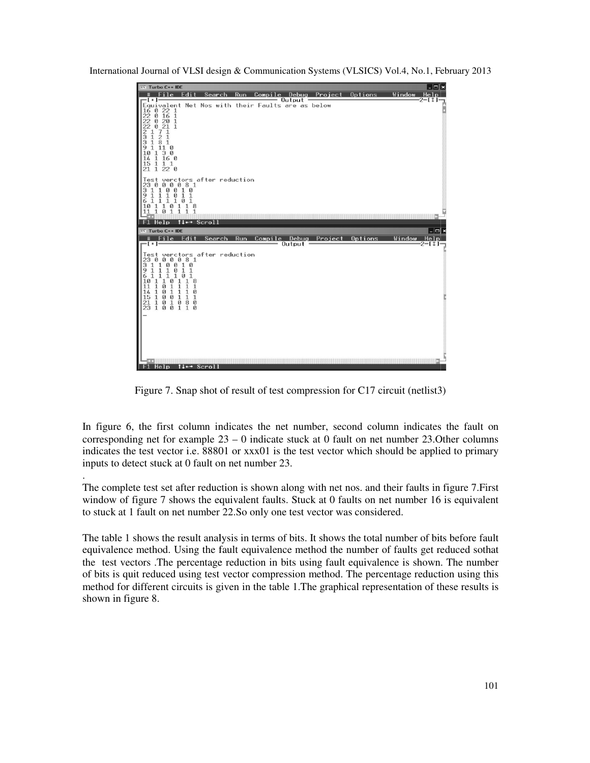International Journal of VLSI design & Communication Systems (VLSICS) Vol.4, No.1, February 2013



Figure 7. Snap shot of result of test compression for C17 circuit (netlist3)

In figure 6, the first column indicates the net number, second column indicates the fault on In figure 6, the first column indicates the net number, second column indicates the fault on corresponding net for example  $23 - 0$  indicate stuck at 0 fault on net number 23.Other columns indicates the test vector i.e. 88801 or xxx01 is the test vector which should be applied to primary inputs to detect stuck at 0 fault on net number 23 fault on net number 23.

The complete test set after reduction is shown along with net nos. and their faults in figure 7. First window of figure 7 shows the equivalent faults. Stuck at 0 faults on net number 16 is equivalent window of figure 7 shows the equivalent faults. Stuck at 0 faults on net number 16 is equivalent to stuck at 1 fault on net number 22.So only one test vector was considered.

.

The table 1 shows the result analysis in terms of bits. It shows the total number of bits before fault equivalence method. Using the fault equivalence method the number of faults get reduced sothat the test vectors .The percentage reduction in bits using fault equivalence is shown. The number of bits is quit reduced using test vector compression method. The percentage method for different circuits is given in the table 1.The graphical representation of these results is shown in figure 8. to stuck at 1 fault on net number 22.So only one test vector was considered.<br>The table 1 shows the result analysis in terms of bits. It shows the total number of bits before fault<br>equivalence method. Using the fault equiva sult of test compression for C17 circuit (netlist3)<br>tes the net number, second column indicates the fault<br>0 indicate stuck at 0 fault on net number 23.Other colu<br>xxx01 is the test vector which should be applied to prin<br>num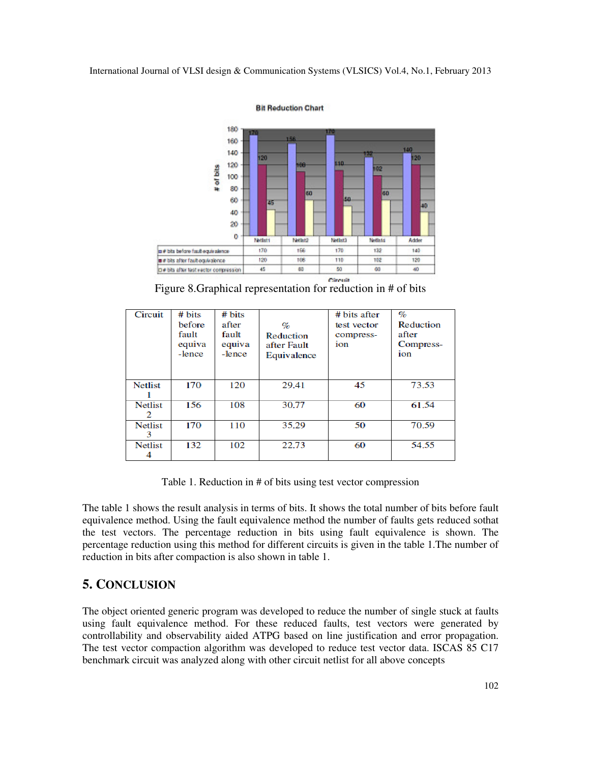

**Bit Reduction Chart** 

Figure 8.Graphical representation for reduction in # of bits

| <b>Circuit</b>      | $# \; bits$<br>before<br>fault<br>equiva<br>-lence | $# \; bits$<br>after<br>fault<br>equiva<br>-lence | $\%$<br>Reduction<br>after Fault<br>Equivalence | # bits after<br>test vector<br>compress-<br>ion | $\%$<br>Reduction<br>after<br>Compress-<br>ion |
|---------------------|----------------------------------------------------|---------------------------------------------------|-------------------------------------------------|-------------------------------------------------|------------------------------------------------|
| <b>Netlist</b>      | 170                                                | 120                                               | 29.41                                           | 45                                              | 73.53                                          |
| <b>Netlist</b><br>2 | 156                                                | 108                                               | 30.77                                           | 60                                              | 61.54                                          |
| <b>Netlist</b><br>3 | 170                                                | 110                                               | 35.29                                           | 50                                              | 70.59                                          |
| <b>Netlist</b>      | 132                                                | 102                                               | 22.73                                           | 60                                              | 54.55                                          |

Table 1. Reduction in # of bits using test vector compression

The table 1 shows the result analysis in terms of bits. It shows the total number of bits before fault equivalence method. Using the fault equivalence method the number of faults gets reduced sothat the test vectors. The percentage reduction in bits using fault equivalence is shown. The percentage reduction using this method for different circuits is given in the table 1.The number of reduction in bits after compaction is also shown in table 1.

# **5. CONCLUSION**

The object oriented generic program was developed to reduce the number of single stuck at faults using fault equivalence method. For these reduced faults, test vectors were generated by controllability and observability aided ATPG based on line justification and error propagation. The test vector compaction algorithm was developed to reduce test vector data. ISCAS 85 C17 benchmark circuit was analyzed along with other circuit netlist for all above concepts